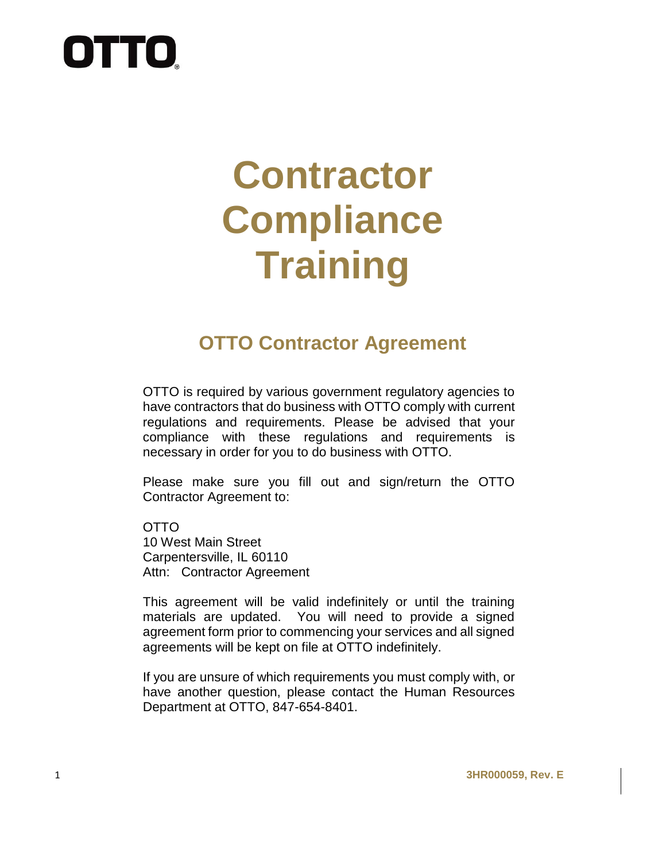# **OTTO**

## **Contractor Compliance Training**

## **OTTO Contractor Agreement**

OTTO is required by various government regulatory agencies to have contractors that do business with OTTO comply with current regulations and requirements. Please be advised that your compliance with these regulations and requirements is necessary in order for you to do business with OTTO.

Please make sure you fill out and sign/return the OTTO Contractor Agreement to:

OTTO 10 West Main Street Carpentersville, IL 60110 Attn: Contractor Agreement

This agreement will be valid indefinitely or until the training materials are updated. You will need to provide a signed agreement form prior to commencing your services and all signed agreements will be kept on file at OTTO indefinitely.

If you are unsure of which requirements you must comply with, or have another question, please contact the Human Resources Department at OTTO, 847-654-8401.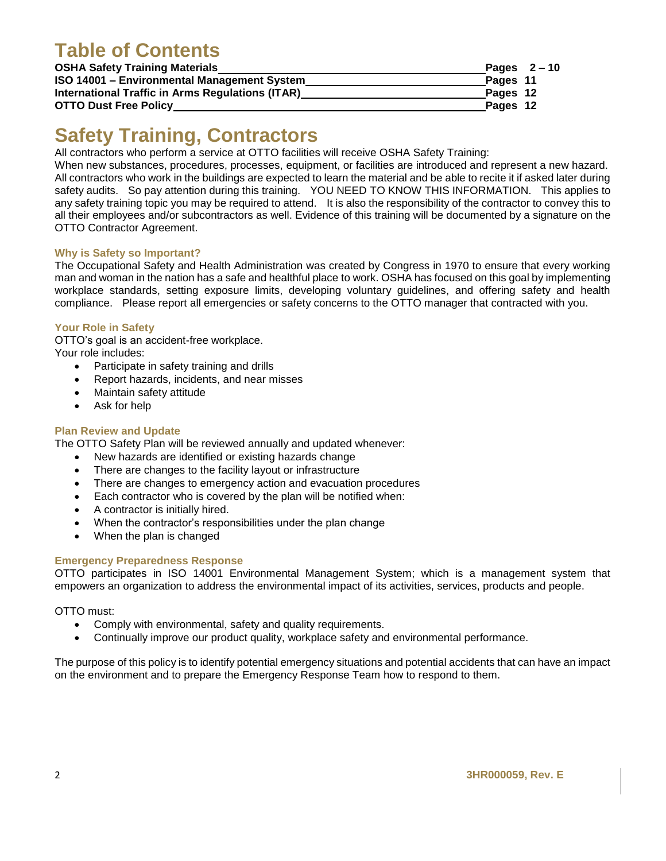## **Table of Contents**

| <b>OSHA Safety Training Materials</b>                   | Pages $2-10$ |
|---------------------------------------------------------|--------------|
| ISO 14001 - Environmental Management System             | Pages 11     |
| <b>International Traffic in Arms Regulations (ITAR)</b> | Pages 12     |
| <b>OTTO Dust Free Policy</b>                            | Pages 12     |

## **Safety Training, Contractors**

All contractors who perform a service at OTTO facilities will receive OSHA Safety Training:

When new substances, procedures, processes, equipment, or facilities are introduced and represent a new hazard. All contractors who work in the buildings are expected to learn the material and be able to recite it if asked later during safety audits. So pay attention during this training. YOU NEED TO KNOW THIS INFORMATION. This applies to any safety training topic you may be required to attend. It is also the responsibility of the contractor to convey this to all their employees and/or subcontractors as well. Evidence of this training will be documented by a signature on the OTTO Contractor Agreement.

#### **Why is Safety so Important?**

The Occupational Safety and Health Administration was created by Congress in 1970 to ensure that every working man and woman in the nation has a safe and healthful place to work. OSHA has focused on this goal by implementing workplace standards, setting exposure limits, developing voluntary guidelines, and offering safety and health compliance. Please report all emergencies or safety concerns to the OTTO manager that contracted with you.

#### **Your Role in Safety**

OTTO's goal is an accident-free workplace. Your role includes:

- Participate in safety training and drills
- Report hazards, incidents, and near misses
- Maintain safety attitude
- Ask for help

#### **Plan Review and Update**

The OTTO Safety Plan will be reviewed annually and updated whenever:

- New hazards are identified or existing hazards change
- There are changes to the facility layout or infrastructure
- There are changes to emergency action and evacuation procedures
- Each contractor who is covered by the plan will be notified when:
- A contractor is initially hired.
- When the contractor's responsibilities under the plan change
- When the plan is changed

#### **Emergency Preparedness Response**

OTTO participates in ISO 14001 Environmental Management System; which is a management system that empowers an organization to address the environmental impact of its activities, services, products and people.

OTTO must:

- Comply with environmental, safety and quality requirements.
- Continually improve our product quality, workplace safety and environmental performance.

The purpose of this policy is to identify potential emergency situations and potential accidents that can have an impact on the environment and to prepare the Emergency Response Team how to respond to them.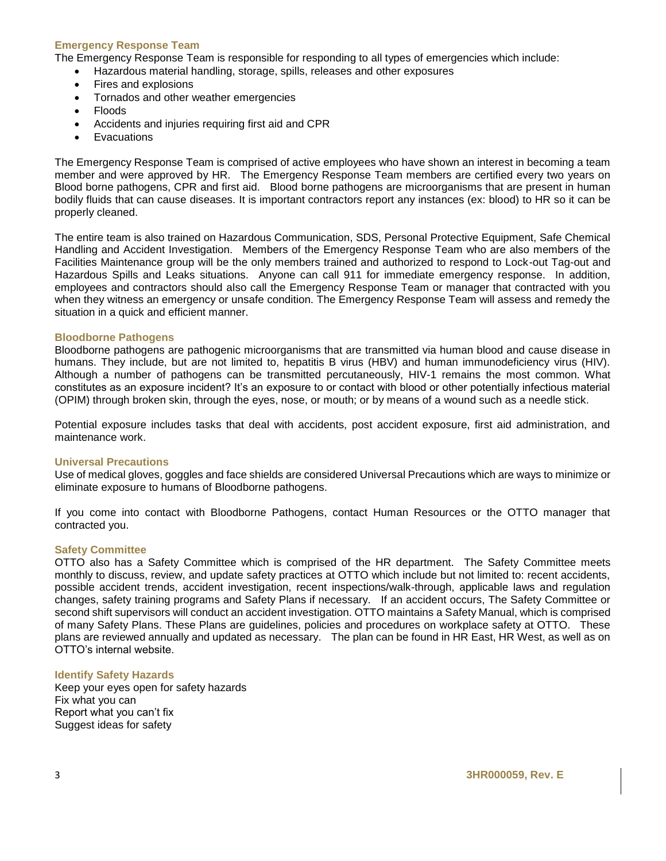#### **Emergency Response Team**

The Emergency Response Team is responsible for responding to all types of emergencies which include:

- Hazardous material handling, storage, spills, releases and other exposures
- Fires and explosions
- Tornados and other weather emergencies
- Floods
- Accidents and injuries requiring first aid and CPR
- Evacuations

The Emergency Response Team is comprised of active employees who have shown an interest in becoming a team member and were approved by HR. The Emergency Response Team members are certified every two years on Blood borne pathogens, CPR and first aid. Blood borne pathogens are microorganisms that are present in human bodily fluids that can cause diseases. It is important contractors report any instances (ex: blood) to HR so it can be properly cleaned.

The entire team is also trained on Hazardous Communication, SDS, Personal Protective Equipment, Safe Chemical Handling and Accident Investigation. Members of the Emergency Response Team who are also members of the Facilities Maintenance group will be the only members trained and authorized to respond to Lock-out Tag-out and Hazardous Spills and Leaks situations. Anyone can call 911 for immediate emergency response. In addition, employees and contractors should also call the Emergency Response Team or manager that contracted with you when they witness an emergency or unsafe condition. The Emergency Response Team will assess and remedy the situation in a quick and efficient manner.

#### **Bloodborne Pathogens**

Bloodborne pathogens are pathogenic microorganisms that are transmitted via human blood and cause disease in humans. They include, but are not limited to, hepatitis B virus (HBV) and human immunodeficiency virus (HIV). Although a number of pathogens can be transmitted percutaneously, HIV-1 remains the most common. What constitutes as an exposure incident? It's an exposure to or contact with blood or other potentially infectious material (OPIM) through broken skin, through the eyes, nose, or mouth; or by means of a wound such as a needle stick.

Potential exposure includes tasks that deal with accidents, post accident exposure, first aid administration, and maintenance work.

#### **Universal Precautions**

Use of medical gloves, goggles and face shields are considered Universal Precautions which are ways to minimize or eliminate exposure to humans of Bloodborne pathogens.

If you come into contact with Bloodborne Pathogens, contact Human Resources or the OTTO manager that contracted you.

#### **Safety Committee**

OTTO also has a Safety Committee which is comprised of the HR department. The Safety Committee meets monthly to discuss, review, and update safety practices at OTTO which include but not limited to: recent accidents, possible accident trends, accident investigation, recent inspections/walk-through, applicable laws and regulation changes, safety training programs and Safety Plans if necessary. If an accident occurs, The Safety Committee or second shift supervisors will conduct an accident investigation. OTTO maintains a Safety Manual, which is comprised of many Safety Plans. These Plans are guidelines, policies and procedures on workplace safety at OTTO. These plans are reviewed annually and updated as necessary. The plan can be found in HR East, HR West, as well as on OTTO's internal website.

#### **Identify Safety Hazards**

Keep your eyes open for safety hazards Fix what you can Report what you can't fix Suggest ideas for safety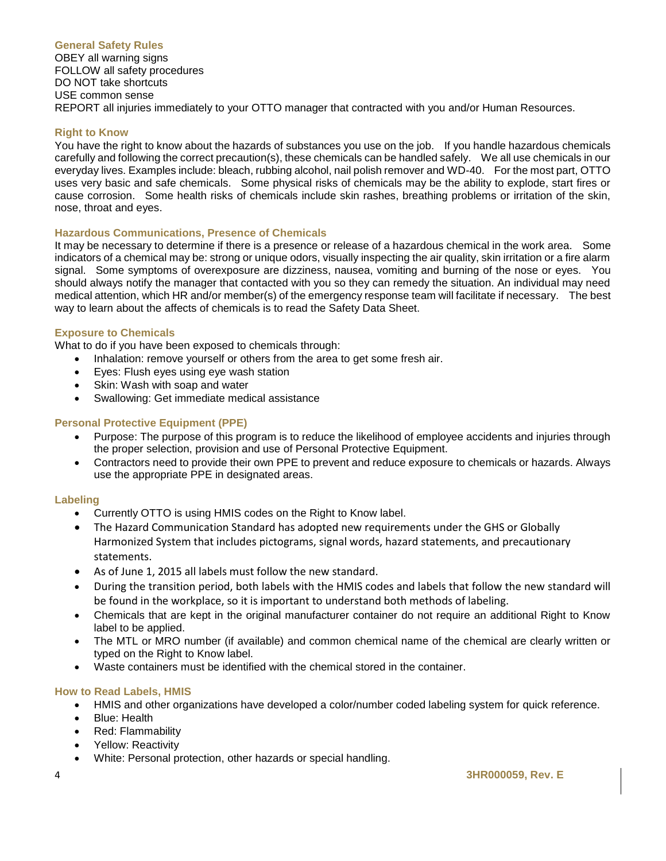#### **General Safety Rules**

OBEY all warning signs FOLLOW all safety procedures DO NOT take shortcuts USE common sense REPORT all injuries immediately to your OTTO manager that contracted with you and/or Human Resources.

#### **Right to Know**

You have the right to know about the hazards of substances you use on the job. If you handle hazardous chemicals carefully and following the correct precaution(s), these chemicals can be handled safely. We all use chemicals in our everyday lives. Examples include: bleach, rubbing alcohol, nail polish remover and WD-40. For the most part, OTTO uses very basic and safe chemicals. Some physical risks of chemicals may be the ability to explode, start fires or cause corrosion. Some health risks of chemicals include skin rashes, breathing problems or irritation of the skin, nose, throat and eyes.

#### **Hazardous Communications, Presence of Chemicals**

It may be necessary to determine if there is a presence or release of a hazardous chemical in the work area. Some indicators of a chemical may be: strong or unique odors, visually inspecting the air quality, skin irritation or a fire alarm signal. Some symptoms of overexposure are dizziness, nausea, vomiting and burning of the nose or eyes. You should always notify the manager that contacted with you so they can remedy the situation. An individual may need medical attention, which HR and/or member(s) of the emergency response team will facilitate if necessary. The best way to learn about the affects of chemicals is to read the Safety Data Sheet.

#### **Exposure to Chemicals**

What to do if you have been exposed to chemicals through:

- Inhalation: remove yourself or others from the area to get some fresh air.
- Eyes: Flush eyes using eye wash station
- Skin: Wash with soap and water
- Swallowing: Get immediate medical assistance

#### **Personal Protective Equipment (PPE)**

- Purpose: The purpose of this program is to reduce the likelihood of employee accidents and injuries through the proper selection, provision and use of Personal Protective Equipment.
- Contractors need to provide their own PPE to prevent and reduce exposure to chemicals or hazards. Always use the appropriate PPE in designated areas.

#### **Labeling**

- Currently OTTO is using HMIS codes on the Right to Know label.
- The Hazard Communication Standard has adopted new requirements under the GHS or Globally Harmonized System that includes pictograms, signal words, hazard statements, and precautionary statements.
- As of June 1, 2015 all labels must follow the new standard.
- During the transition period, both labels with the HMIS codes and labels that follow the new standard will be found in the workplace, so it is important to understand both methods of labeling.
- Chemicals that are kept in the original manufacturer container do not require an additional Right to Know label to be applied.
- The MTL or MRO number (if available) and common chemical name of the chemical are clearly written or typed on the Right to Know label.
- Waste containers must be identified with the chemical stored in the container.

#### **How to Read Labels, HMIS**

- HMIS and other organizations have developed a color/number coded labeling system for quick reference.
- Blue: Health
- Red: Flammability
- Yellow: Reactivity
- White: Personal protection, other hazards or special handling.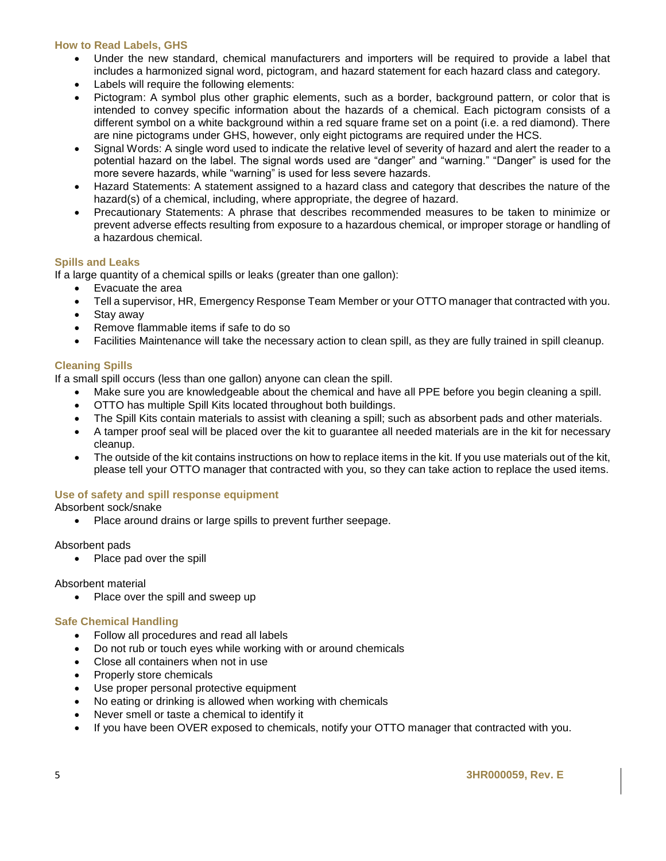#### **How to Read Labels, GHS**

- Under the new standard, chemical manufacturers and importers will be required to provide a label that includes a harmonized signal word, pictogram, and hazard statement for each hazard class and category.
- Labels will require the following elements:
- Pictogram: A symbol plus other graphic elements, such as a border, background pattern, or color that is intended to convey specific information about the hazards of a chemical. Each pictogram consists of a different symbol on a white background within a red square frame set on a point (i.e. a red diamond). There are nine pictograms under GHS, however, only eight pictograms are required under the HCS.
- Signal Words: A single word used to indicate the relative level of severity of hazard and alert the reader to a potential hazard on the label. The signal words used are "danger" and "warning." "Danger" is used for the more severe hazards, while "warning" is used for less severe hazards.
- Hazard Statements: A statement assigned to a hazard class and category that describes the nature of the hazard(s) of a chemical, including, where appropriate, the degree of hazard.
- Precautionary Statements: A phrase that describes recommended measures to be taken to minimize or prevent adverse effects resulting from exposure to a hazardous chemical, or improper storage or handling of a hazardous chemical.

#### **Spills and Leaks**

If a large quantity of a chemical spills or leaks (greater than one gallon):

- Evacuate the area
- Tell a supervisor, HR, Emergency Response Team Member or your OTTO manager that contracted with you.
- Stay away
- Remove flammable items if safe to do so
- Facilities Maintenance will take the necessary action to clean spill, as they are fully trained in spill cleanup.

#### **Cleaning Spills**

If a small spill occurs (less than one gallon) anyone can clean the spill.

- Make sure you are knowledgeable about the chemical and have all PPE before you begin cleaning a spill.
- OTTO has multiple Spill Kits located throughout both buildings.
- The Spill Kits contain materials to assist with cleaning a spill; such as absorbent pads and other materials.
- A tamper proof seal will be placed over the kit to guarantee all needed materials are in the kit for necessary cleanup.
- The outside of the kit contains instructions on how to replace items in the kit. If you use materials out of the kit, please tell your OTTO manager that contracted with you, so they can take action to replace the used items.

#### **Use of safety and spill response equipment**

Absorbent sock/snake

• Place around drains or large spills to prevent further seepage.

Absorbent pads

• Place pad over the spill

#### Absorbent material

• Place over the spill and sweep up

#### **Safe Chemical Handling**

- Follow all procedures and read all labels
- Do not rub or touch eyes while working with or around chemicals
- Close all containers when not in use
- Properly store chemicals
- Use proper personal protective equipment
- No eating or drinking is allowed when working with chemicals
- Never smell or taste a chemical to identify it
- If you have been OVER exposed to chemicals, notify your OTTO manager that contracted with you.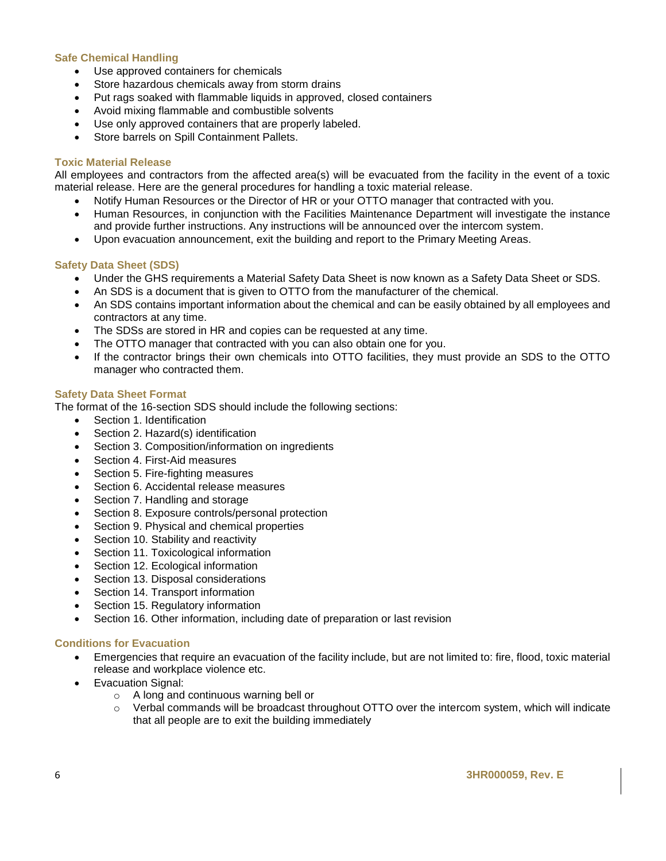#### **Safe Chemical Handling**

- Use approved containers for chemicals
- Store hazardous chemicals away from storm drains
- Put rags soaked with flammable liquids in approved, closed containers
- Avoid mixing flammable and combustible solvents
- Use only approved containers that are properly labeled.
- Store barrels on Spill Containment Pallets.

#### **Toxic Material Release**

All employees and contractors from the affected area(s) will be evacuated from the facility in the event of a toxic material release. Here are the general procedures for handling a toxic material release.

- Notify Human Resources or the Director of HR or your OTTO manager that contracted with you.
- Human Resources, in conjunction with the Facilities Maintenance Department will investigate the instance and provide further instructions. Any instructions will be announced over the intercom system.
- Upon evacuation announcement, exit the building and report to the Primary Meeting Areas.

#### **Safety Data Sheet (SDS)**

- Under the GHS requirements a Material Safety Data Sheet is now known as a Safety Data Sheet or SDS.
- An SDS is a document that is given to OTTO from the manufacturer of the chemical.
- An SDS contains important information about the chemical and can be easily obtained by all employees and contractors at any time.
- The SDSs are stored in HR and copies can be requested at any time.
- The OTTO manager that contracted with you can also obtain one for you.
- If the contractor brings their own chemicals into OTTO facilities, they must provide an SDS to the OTTO manager who contracted them.

#### **Safety Data Sheet Format**

The format of the 16-section SDS should include the following sections:

- Section 1. Identification
- Section 2. Hazard(s) identification
- Section 3. Composition/information on ingredients
- Section 4. First-Aid measures
- Section 5. Fire-fighting measures
- Section 6. Accidental release measures
- Section 7. Handling and storage
- Section 8. Exposure controls/personal protection
- Section 9. Physical and chemical properties
- Section 10. Stability and reactivity
- Section 11. Toxicological information
- Section 12. Ecological information
- Section 13. Disposal considerations
- Section 14. Transport information
- Section 15. Regulatory information
- Section 16. Other information, including date of preparation or last revision

#### **Conditions for Evacuation**

- Emergencies that require an evacuation of the facility include, but are not limited to: fire, flood, toxic material release and workplace violence etc.
- Evacuation Signal:
	- o A long and continuous warning bell or
	- $\circ$  Verbal commands will be broadcast throughout OTTO over the intercom system, which will indicate that all people are to exit the building immediately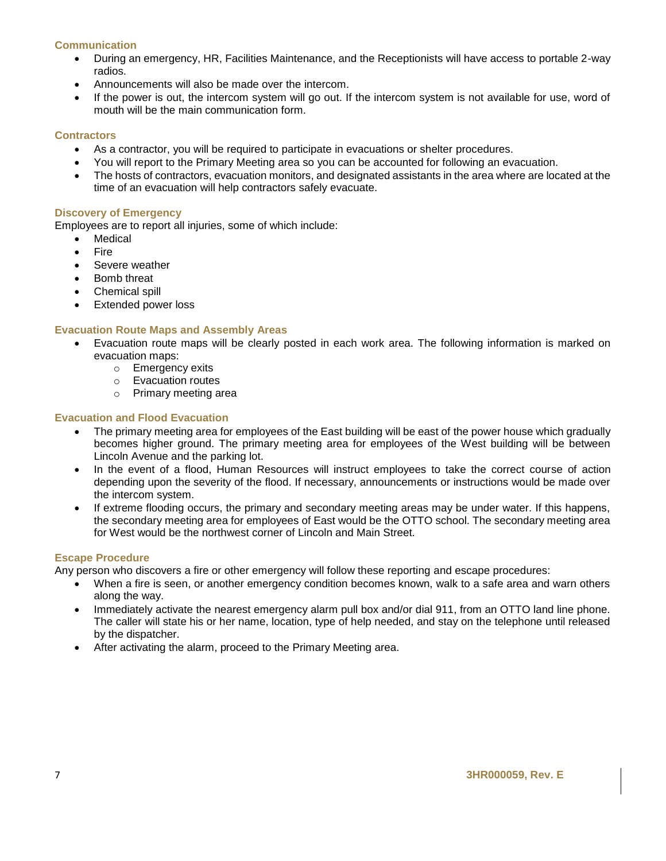#### **Communication**

- During an emergency, HR, Facilities Maintenance, and the Receptionists will have access to portable 2-way radios.
- Announcements will also be made over the intercom.
- If the power is out, the intercom system will go out. If the intercom system is not available for use, word of mouth will be the main communication form.

#### **Contractors**

- As a contractor, you will be required to participate in evacuations or shelter procedures.
- You will report to the Primary Meeting area so you can be accounted for following an evacuation.
- The hosts of contractors, evacuation monitors, and designated assistants in the area where are located at the time of an evacuation will help contractors safely evacuate.

#### **Discovery of Emergency**

Employees are to report all injuries, some of which include:

- Medical
- Fire
- Severe weather
- Bomb threat
- Chemical spill
- Extended power loss

#### **Evacuation Route Maps and Assembly Areas**

- Evacuation route maps will be clearly posted in each work area. The following information is marked on evacuation maps:
	- o Emergency exits
	- o Evacuation routes
	- o Primary meeting area

#### **Evacuation and Flood Evacuation**

- The primary meeting area for employees of the East building will be east of the power house which gradually becomes higher ground. The primary meeting area for employees of the West building will be between Lincoln Avenue and the parking lot.
- In the event of a flood, Human Resources will instruct employees to take the correct course of action depending upon the severity of the flood. If necessary, announcements or instructions would be made over the intercom system.
- If extreme flooding occurs, the primary and secondary meeting areas may be under water. If this happens, the secondary meeting area for employees of East would be the OTTO school. The secondary meeting area for West would be the northwest corner of Lincoln and Main Street.

#### **Escape Procedure**

Any person who discovers a fire or other emergency will follow these reporting and escape procedures:

- When a fire is seen, or another emergency condition becomes known, walk to a safe area and warn others along the way.
- Immediately activate the nearest emergency alarm pull box and/or dial 911, from an OTTO land line phone. The caller will state his or her name, location, type of help needed, and stay on the telephone until released by the dispatcher.
- After activating the alarm, proceed to the Primary Meeting area.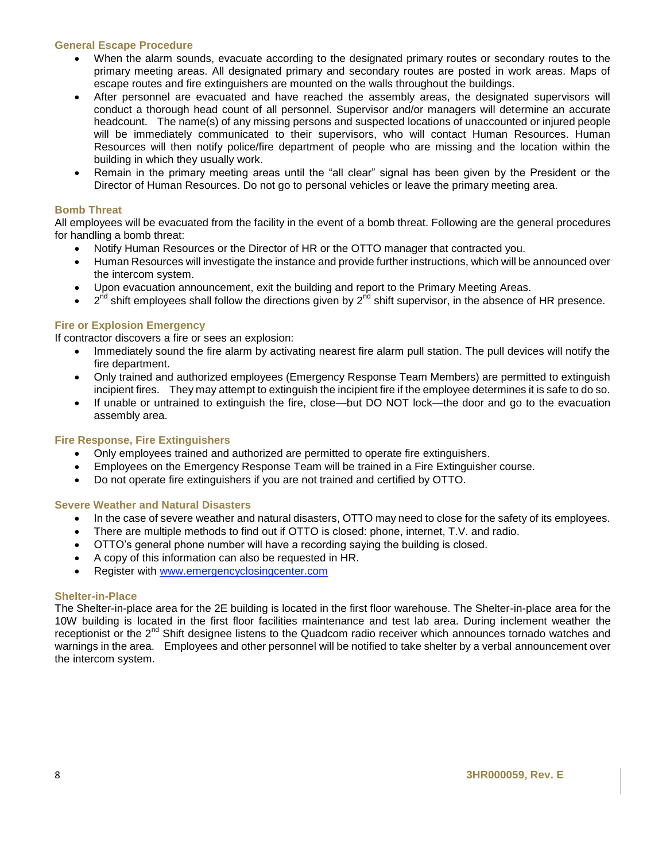#### **General Escape Procedure**

- When the alarm sounds, evacuate according to the designated primary routes or secondary routes to the primary meeting areas. All designated primary and secondary routes are posted in work areas. Maps of escape routes and fire extinguishers are mounted on the walls throughout the buildings.
- After personnel are evacuated and have reached the assembly areas, the designated supervisors will conduct a thorough head count of all personnel. Supervisor and/or managers will determine an accurate headcount. The name(s) of any missing persons and suspected locations of unaccounted or injured people will be immediately communicated to their supervisors, who will contact Human Resources. Human Resources will then notify police/fire department of people who are missing and the location within the building in which they usually work.
- Remain in the primary meeting areas until the "all clear" signal has been given by the President or the Director of Human Resources. Do not go to personal vehicles or leave the primary meeting area.

#### **Bomb Threat**

All employees will be evacuated from the facility in the event of a bomb threat. Following are the general procedures for handling a bomb threat:

- Notify Human Resources or the Director of HR or the OTTO manager that contracted you.
- Human Resources will investigate the instance and provide further instructions, which will be announced over the intercom system.
- Upon evacuation announcement, exit the building and report to the Primary Meeting Areas.
- $\bullet$  2<sup>nd</sup> shift employees shall follow the directions given by 2<sup>nd</sup> shift supervisor, in the absence of HR presence.

#### **Fire or Explosion Emergency**

If contractor discovers a fire or sees an explosion:

- Immediately sound the fire alarm by activating nearest fire alarm pull station. The pull devices will notify the fire department.
- Only trained and authorized employees (Emergency Response Team Members) are permitted to extinguish incipient fires. They may attempt to extinguish the incipient fire if the employee determines it is safe to do so.
- If unable or untrained to extinguish the fire, close—but DO NOT lock—the door and go to the evacuation assembly area.

#### **Fire Response, Fire Extinguishers**

- Only employees trained and authorized are permitted to operate fire extinguishers.
- Employees on the Emergency Response Team will be trained in a Fire Extinguisher course.
- Do not operate fire extinguishers if you are not trained and certified by OTTO.

#### **Severe Weather and Natural Disasters**

- In the case of severe weather and natural disasters, OTTO may need to close for the safety of its employees.
- There are multiple methods to find out if OTTO is closed: phone, internet, T.V. and radio.
- OTTO's general phone number will have a recording saying the building is closed.
- A copy of this information can also be requested in HR.
- Register with www.emergencyclosingcenter.com

#### **Shelter-in-Place**

The Shelter-in-place area for the 2E building is located in the first floor warehouse. The Shelter-in-place area for the 10W building is located in the first floor facilities maintenance and test lab area. During inclement weather the receptionist or the 2<sup>nd</sup> Shift designee listens to the Quadcom radio receiver which announces tornado watches and warnings in the area. Employees and other personnel will be notified to take shelter by a verbal announcement over the intercom system.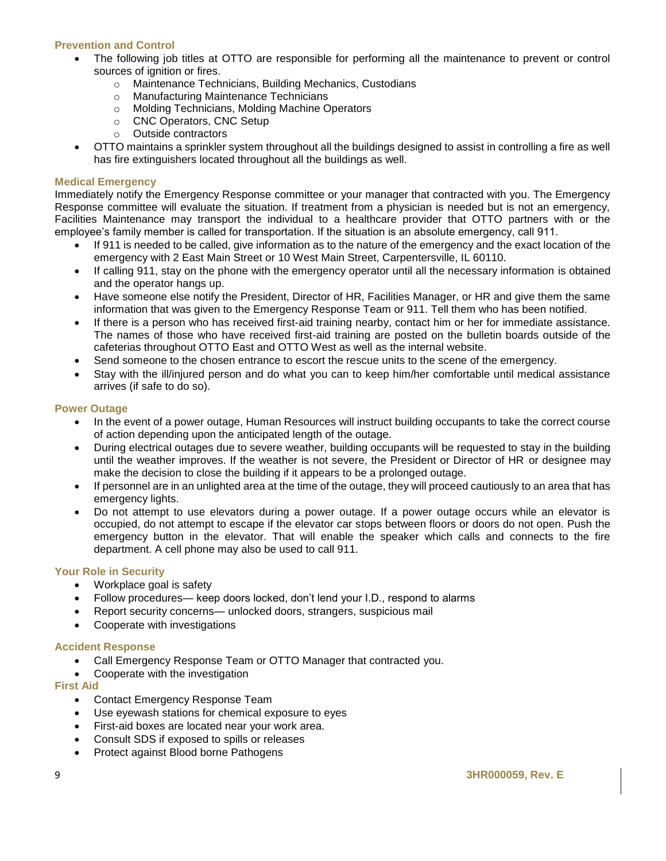#### **Prevention and Control**

- The following job titles at OTTO are responsible for performing all the maintenance to prevent or control sources of ignition or fires.
	- o Maintenance Technicians, Building Mechanics, Custodians
	- o Manufacturing Maintenance Technicians
	- o Molding Technicians, Molding Machine Operators
	- o CNC Operators, CNC Setup
	- o Outside contractors
- OTTO maintains a sprinkler system throughout all the buildings designed to assist in controlling a fire as well has fire extinguishers located throughout all the buildings as well.

#### **Medical Emergency**

Immediately notify the Emergency Response committee or your manager that contracted with you. The Emergency Response committee will evaluate the situation. If treatment from a physician is needed but is not an emergency, Facilities Maintenance may transport the individual to a healthcare provider that OTTO partners with or the employee's family member is called for transportation. If the situation is an absolute emergency, call 911.

- If 911 is needed to be called, give information as to the nature of the emergency and the exact location of the emergency with 2 East Main Street or 10 West Main Street, Carpentersville, IL 60110.
- If calling 911, stay on the phone with the emergency operator until all the necessary information is obtained and the operator hangs up.
- Have someone else notify the President, Director of HR, Facilities Manager, or HR and give them the same information that was given to the Emergency Response Team or 911. Tell them who has been notified.
- If there is a person who has received first-aid training nearby, contact him or her for immediate assistance. The names of those who have received first-aid training are posted on the bulletin boards outside of the cafeterias throughout OTTO East and OTTO West as well as the internal website.
- Send someone to the chosen entrance to escort the rescue units to the scene of the emergency.
- Stay with the ill/injured person and do what you can to keep him/her comfortable until medical assistance arrives (if safe to do so).

#### **Power Outage**

- In the event of a power outage, Human Resources will instruct building occupants to take the correct course of action depending upon the anticipated length of the outage.
- During electrical outages due to severe weather, building occupants will be requested to stay in the building until the weather improves. If the weather is not severe, the President or Director of HR or designee may make the decision to close the building if it appears to be a prolonged outage.
- If personnel are in an unlighted area at the time of the outage, they will proceed cautiously to an area that has emergency lights.
- Do not attempt to use elevators during a power outage. If a power outage occurs while an elevator is occupied, do not attempt to escape if the elevator car stops between floors or doors do not open. Push the emergency button in the elevator. That will enable the speaker which calls and connects to the fire department. A cell phone may also be used to call 911.

#### **Your Role in Security**

- Workplace goal is safety
- Follow procedures— keep doors locked, don't lend your I.D., respond to alarms
- Report security concerns— unlocked doors, strangers, suspicious mail
- Cooperate with investigations

#### **Accident Response**

- Call Emergency Response Team or OTTO Manager that contracted you.
- Cooperate with the investigation

#### **First Aid**

- Contact Emergency Response Team
- Use eyewash stations for chemical exposure to eyes
- First-aid boxes are located near your work area.
- Consult SDS if exposed to spills or releases
- Protect against Blood borne Pathogens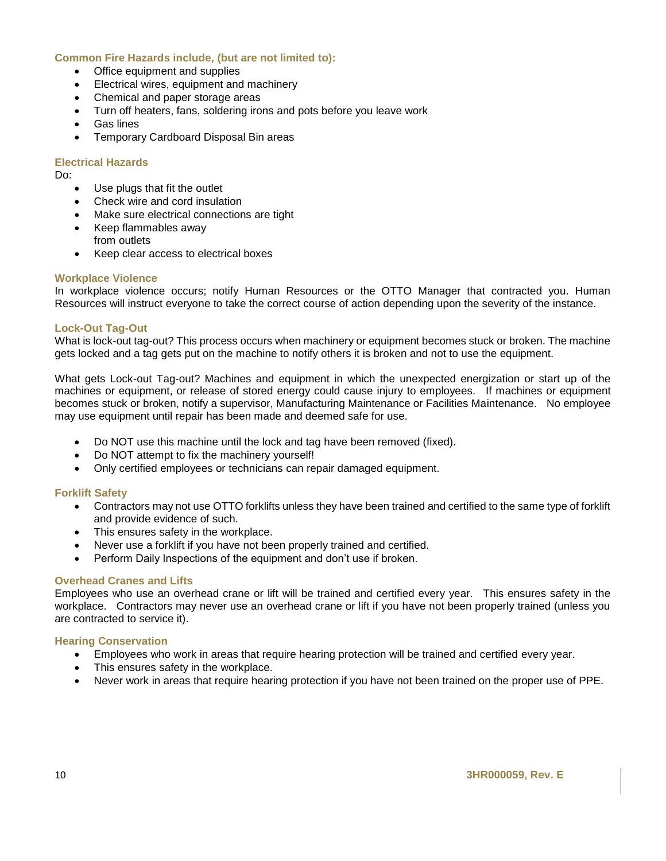#### **Common Fire Hazards include, (but are not limited to):**

- Office equipment and supplies
- Electrical wires, equipment and machinery
- Chemical and paper storage areas
- Turn off heaters, fans, soldering irons and pots before you leave work
- Gas lines
- Temporary Cardboard Disposal Bin areas

#### **Electrical Hazards**

Do:

- Use plugs that fit the outlet
- Check wire and cord insulation
- Make sure electrical connections are tight
- Keep flammables away from outlets
- Keep clear access to electrical boxes

#### **Workplace Violence**

In workplace violence occurs; notify Human Resources or the OTTO Manager that contracted you. Human Resources will instruct everyone to take the correct course of action depending upon the severity of the instance.

#### **Lock-Out Tag-Out**

What is lock-out tag-out? This process occurs when machinery or equipment becomes stuck or broken. The machine gets locked and a tag gets put on the machine to notify others it is broken and not to use the equipment.

What gets Lock-out Tag-out? Machines and equipment in which the unexpected energization or start up of the machines or equipment, or release of stored energy could cause injury to employees. If machines or equipment becomes stuck or broken, notify a supervisor, Manufacturing Maintenance or Facilities Maintenance. No employee may use equipment until repair has been made and deemed safe for use.

- Do NOT use this machine until the lock and tag have been removed (fixed).
- Do NOT attempt to fix the machinery yourself!
- Only certified employees or technicians can repair damaged equipment.

#### **Forklift Safety**

- Contractors may not use OTTO forklifts unless they have been trained and certified to the same type of forklift and provide evidence of such.
- This ensures safety in the workplace.
- Never use a forklift if you have not been properly trained and certified.
- Perform Daily Inspections of the equipment and don't use if broken.

#### **Overhead Cranes and Lifts**

Employees who use an overhead crane or lift will be trained and certified every year. This ensures safety in the workplace. Contractors may never use an overhead crane or lift if you have not been properly trained (unless you are contracted to service it).

#### **Hearing Conservation**

- Employees who work in areas that require hearing protection will be trained and certified every year.
- This ensures safety in the workplace.
- Never work in areas that require hearing protection if you have not been trained on the proper use of PPE.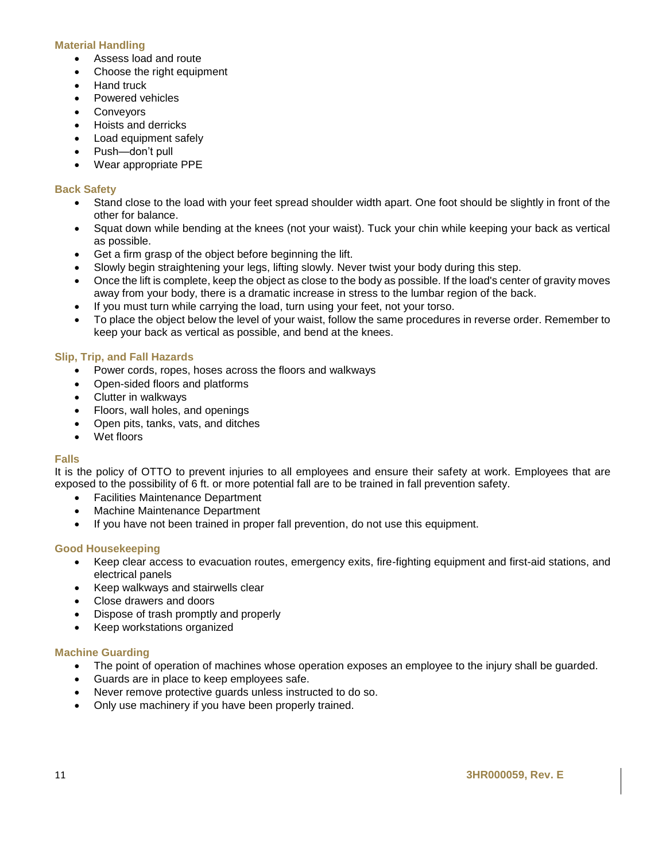#### **Material Handling**

- Assess load and route
- Choose the right equipment
- Hand truck
- Powered vehicles
- **Conveyors**
- Hoists and derricks
- Load equipment safely
- Push—don't pull
- Wear appropriate PPE

#### **Back Safety**

- Stand close to the load with your feet spread shoulder width apart. One foot should be slightly in front of the other for balance.
- Squat down while bending at the knees (not your waist). Tuck your chin while keeping your back as vertical as possible.
- Get a firm grasp of the object before beginning the lift.
- Slowly begin straightening your legs, lifting slowly. Never twist your body during this step.
- Once the lift is complete, keep the object as close to the body as possible. If the load's center of gravity moves away from your body, there is a dramatic increase in stress to the lumbar region of the back.
- If you must turn while carrying the load, turn using your feet, not your torso.
- To place the object below the level of your waist, follow the same procedures in reverse order. Remember to keep your back as vertical as possible, and bend at the knees.

#### **Slip, Trip, and Fall Hazards**

- Power cords, ropes, hoses across the floors and walkways
- Open-sided floors and platforms
- Clutter in walkways
- Floors, wall holes, and openings
- Open pits, tanks, vats, and ditches
- Wet floors

#### **Falls**

It is the policy of OTTO to prevent injuries to all employees and ensure their safety at work. Employees that are exposed to the possibility of 6 ft. or more potential fall are to be trained in fall prevention safety.

- Facilities Maintenance Department
- Machine Maintenance Department
- If you have not been trained in proper fall prevention, do not use this equipment.

#### **Good Housekeeping**

- Keep clear access to evacuation routes, emergency exits, fire-fighting equipment and first-aid stations, and electrical panels
- Keep walkways and stairwells clear
- Close drawers and doors
- Dispose of trash promptly and properly
- Keep workstations organized

#### **Machine Guarding**

- The point of operation of machines whose operation exposes an employee to the injury shall be guarded.
- Guards are in place to keep employees safe.
- Never remove protective guards unless instructed to do so.
- Only use machinery if you have been properly trained.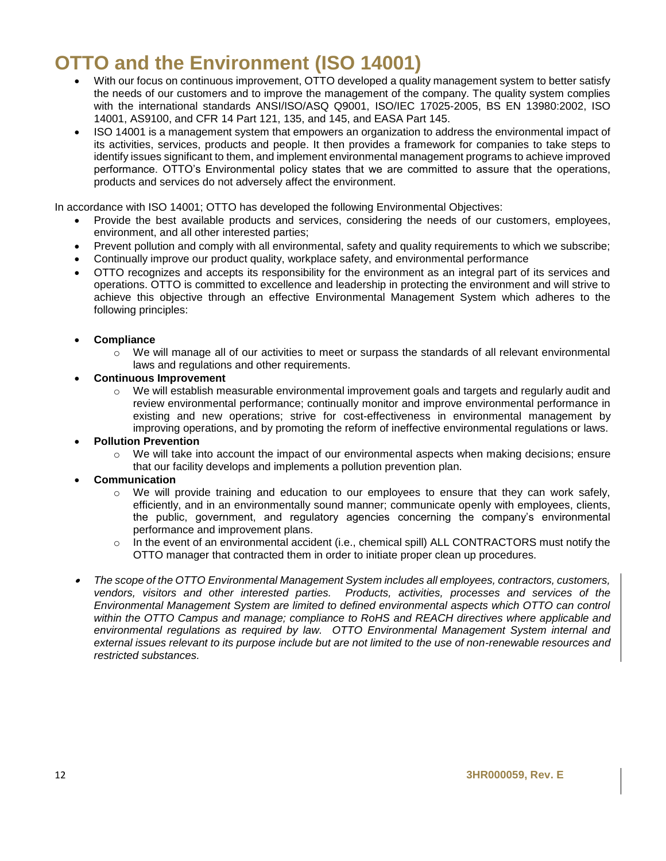## **OTTO and the Environment (ISO 14001)**

- With our focus on continuous improvement, OTTO developed a quality management system to better satisfy the needs of our customers and to improve the management of the company. The quality system complies with the international standards ANSI/ISO/ASQ Q9001, ISO/IEC 17025-2005, BS EN 13980:2002, ISO 14001, AS9100, and CFR 14 Part 121, 135, and 145, and EASA Part 145.
- ISO 14001 is a management system that empowers an organization to address the environmental impact of its activities, services, products and people. It then provides a framework for companies to take steps to identify issues significant to them, and implement environmental management programs to achieve improved performance. OTTO's Environmental policy states that we are committed to assure that the operations, products and services do not adversely affect the environment.

In accordance with ISO 14001; OTTO has developed the following Environmental Objectives:

- Provide the best available products and services, considering the needs of our customers, employees, environment, and all other interested parties;
- Prevent pollution and comply with all environmental, safety and quality requirements to which we subscribe;
- Continually improve our product quality, workplace safety, and environmental performance
- OTTO recognizes and accepts its responsibility for the environment as an integral part of its services and operations. OTTO is committed to excellence and leadership in protecting the environment and will strive to achieve this objective through an effective Environmental Management System which adheres to the following principles:
- **Compliance**
	- We will manage all of our activities to meet or surpass the standards of all relevant environmental laws and regulations and other requirements.
- **Continuous Improvement** 
	- $\circ$  We will establish measurable environmental improvement goals and targets and regularly audit and review environmental performance; continually monitor and improve environmental performance in existing and new operations; strive for cost-effectiveness in environmental management by improving operations, and by promoting the reform of ineffective environmental regulations or laws.
- **Pollution Prevention**
	- o We will take into account the impact of our environmental aspects when making decisions; ensure that our facility develops and implements a pollution prevention plan.
- **Communication**
	- $\circ$  We will provide training and education to our employees to ensure that they can work safely, efficiently, and in an environmentally sound manner; communicate openly with employees, clients, the public, government, and regulatory agencies concerning the company's environmental performance and improvement plans.
	- $\circ$  In the event of an environmental accident (i.e., chemical spill) ALL CONTRACTORS must notify the OTTO manager that contracted them in order to initiate proper clean up procedures.
- . *The scope of the OTTO Environmental Management System includes all employees, contractors, customers, vendors, visitors and other interested parties. Products, activities, processes and services of the Environmental Management System are limited to defined environmental aspects which OTTO can control within the OTTO Campus and manage; compliance to RoHS and REACH directives where applicable and environmental regulations as required by law. OTTO Environmental Management System internal and external issues relevant to its purpose include but are not limited to the use of non-renewable resources and restricted substances.*